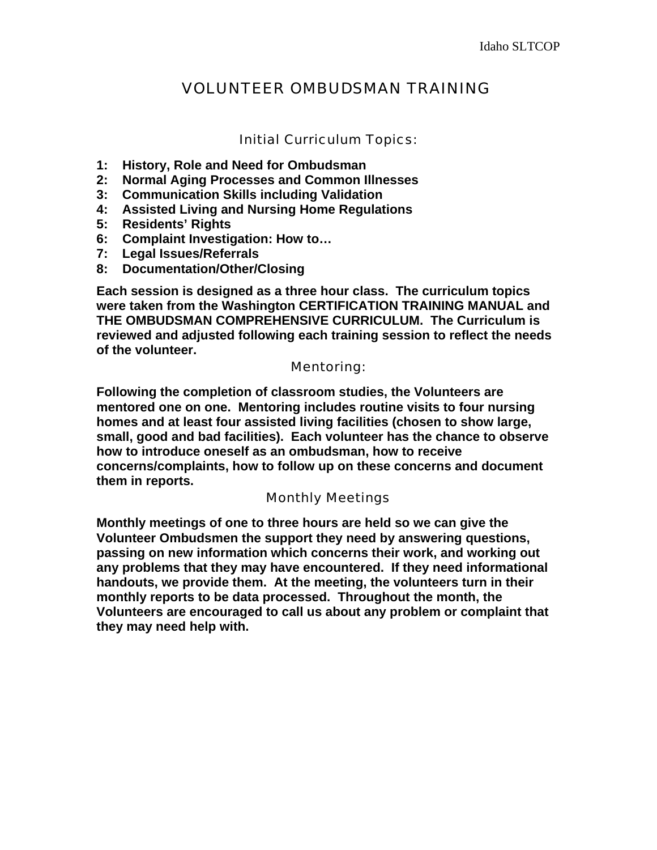# VOLUNTEER OMBUDSMAN TRAINING

## Initial Curriculum Topics:

- **1: History, Role and Need for Ombudsman**
- **2: Normal Aging Processes and Common Illnesses**
- **3: Communication Skills including Validation**
- **4: Assisted Living and Nursing Home Regulations**
- **5: Residents' Rights**
- **6: Complaint Investigation: How to…**
- **7: Legal Issues/Referrals**
- **8: Documentation/Other/Closing**

**Each session is designed as a three hour class. The curriculum topics were taken from the Washington CERTIFICATION TRAINING MANUAL and THE OMBUDSMAN COMPREHENSIVE CURRICULUM. The Curriculum is reviewed and adjusted following each training session to reflect the needs of the volunteer.** 

#### Mentoring:

**Following the completion of classroom studies, the Volunteers are mentored one on one. Mentoring includes routine visits to four nursing homes and at least four assisted living facilities (chosen to show large, small, good and bad facilities). Each volunteer has the chance to observe how to introduce oneself as an ombudsman, how to receive concerns/complaints, how to follow up on these concerns and document them in reports.** 

## Monthly Meetings

**Monthly meetings of one to three hours are held so we can give the Volunteer Ombudsmen the support they need by answering questions, passing on new information which concerns their work, and working out any problems that they may have encountered. If they need informational handouts, we provide them. At the meeting, the volunteers turn in their monthly reports to be data processed. Throughout the month, the Volunteers are encouraged to call us about any problem or complaint that they may need help with.**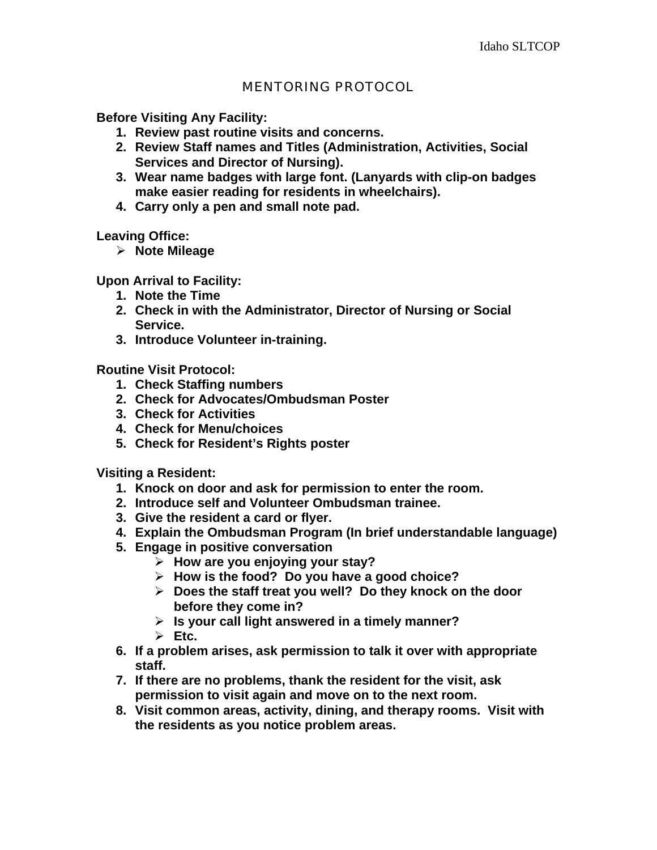# MENTORING PROTOCOL

**Before Visiting Any Facility:** 

- **1. Review past routine visits and concerns.**
- **2. Review Staff names and Titles (Administration, Activities, Social Services and Director of Nursing).**
- **3. Wear name badges with large font. (Lanyards with clip-on badges make easier reading for residents in wheelchairs).**
- **4. Carry only a pen and small note pad.**

**Leaving Office:** 

¾ **Note Mileage** 

**Upon Arrival to Facility:** 

- **1. Note the Time**
- **2. Check in with the Administrator, Director of Nursing or Social Service.**
- **3. Introduce Volunteer in-training.**

**Routine Visit Protocol:** 

- **1. Check Staffing numbers**
- **2. Check for Advocates/Ombudsman Poster**
- **3. Check for Activities**
- **4. Check for Menu/choices**
- **5. Check for Resident's Rights poster**

**Visiting a Resident:** 

- **1. Knock on door and ask for permission to enter the room.**
- **2. Introduce self and Volunteer Ombudsman trainee.**
- **3. Give the resident a card or flyer.**
- **4. Explain the Ombudsman Program (In brief understandable language)**
- **5. Engage in positive conversation** 
	- ¾ **How are you enjoying your stay?**
	- ¾ **How is the food? Do you have a good choice?**
	- ¾ **Does the staff treat you well? Do they knock on the door before they come in?**
	- ¾ **Is your call light answered in a timely manner?**
	- $\triangleright$  **Etc.**
- **6. If a problem arises, ask permission to talk it over with appropriate staff.**
- **7. If there are no problems, thank the resident for the visit, ask permission to visit again and move on to the next room.**
- **8. Visit common areas, activity, dining, and therapy rooms. Visit with the residents as you notice problem areas.**